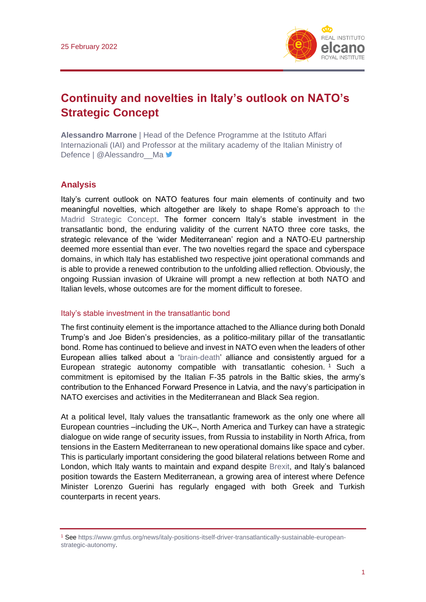

# **Continuity and novelties in Italy's outlook on NATO's Strategic Concept**

**Alessandro Marrone** | Head of the Defence Programme at the Istituto Affari Internazionali (IAI) and Professor at the military academy of the Italian Ministry of Defence | @Alessandro Ma

## **Analysis**

Italy's current outlook on NATO features four main elements of continuity and two meaningful novelties, which altogether are likely to shape Rome's approach to [the](https://www.realinstitutoelcano.org/en/analyses/nato-gets-an-update-the-madrid-strategic-concept/)  [Madrid Strategic Concept.](https://www.realinstitutoelcano.org/en/analyses/nato-gets-an-update-the-madrid-strategic-concept/) The former concern Italy's stable investment in the transatlantic bond, the enduring validity of the current NATO three core tasks, the strategic relevance of the 'wider Mediterranean' region and a NATO-EU partnership deemed more essential than ever. The two novelties regard the space and cyberspace domains, in which Italy has established two respective joint operational commands and is able to provide a renewed contribution to the unfolding allied reflection. Obviously, the ongoing Russian invasion of Ukraine will prompt a new reflection at both NATO and Italian levels, whose outcomes are for the moment difficult to foresee.

#### Italy's stable investment in the transatlantic bond

The first continuity element is the importance attached to the Alliance during both Donald Trump's and Joe Biden's presidencies, as a politico-military pillar of the transatlantic bond. Rome has continued to believe and invest in NATO even when the leaders of other European allies talked about a ['brain-death'](https://www.realinstitutoelcano.org/en/analyses/how-to-keep-france-engaged-in-nato/) alliance and consistently argued for a European strategic autonomy compatible with transatlantic cohesion. <sup>1</sup> Such a commitment is epitomised by the Italian F-35 patrols in the Baltic skies, the army's contribution to the Enhanced Forward Presence in Latvia, and the navy's participation in NATO exercises and activities in the Mediterranean and Black Sea region.

At a political level, Italy values the transatlantic framework as the only one where all European countries –including the UK–, North America and Turkey can have a strategic dialogue on wide range of security issues, from Russia to instability in North Africa, from tensions in the Eastern Mediterranean to new operational domains like space and cyber. This is particularly important considering the good bilateral relations between Rome and London, which Italy wants to maintain and expand despite [Brexit,](https://especiales.realinstitutoelcano.org/brexit/) and Italy's balanced position towards the Eastern Mediterranean, a growing area of interest where Defence Minister Lorenzo Guerini has regularly engaged with both Greek and Turkish counterparts in recent years.

<sup>1</sup> See [https://www.gmfus.org/news/italy-positions-itself-driver-transatlantically-sustainable-european](https://www.gmfus.org/news/italy-positions-itself-driver-transatlantically-sustainable-european-strategic-autonomy)[strategic-autonomy.](https://www.gmfus.org/news/italy-positions-itself-driver-transatlantically-sustainable-european-strategic-autonomy)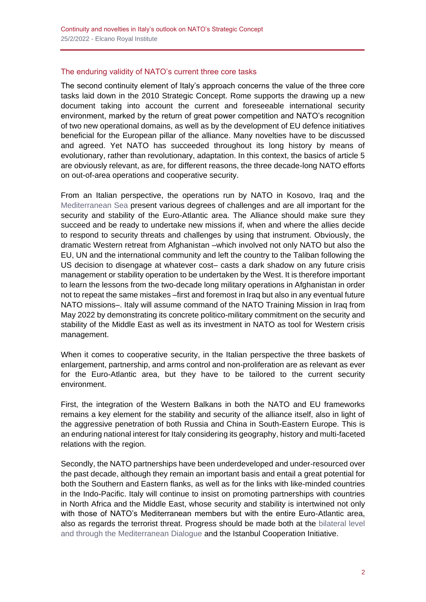### The enduring validity of NATO's current three core tasks

The second continuity element of Italy's approach concerns the value of the three core tasks laid down in the 2010 Strategic Concept. Rome supports the drawing up a new document taking into account the current and foreseeable international security environment, marked by the return of great power competition and NATO's recognition of two new operational domains, as well as by the development of EU defence initiatives beneficial for the European pillar of the alliance. Many novelties have to be discussed and agreed. Yet NATO has succeeded throughout its long history by means of evolutionary, rather than revolutionary, adaptation. In this context, the basics of article 5 are obviously relevant, as are, for different reasons, the three decade-long NATO efforts on out-of-area operations and cooperative security.

From an Italian perspective, the operations run by NATO in Kosovo, Iraq and the [Mediterranean Sea](https://www.realinstitutoelcano.org/en/analyses/emerging-security-challenges-in-natos-southern-neighbourhood/) present various degrees of challenges and are all important for the security and stability of the Euro-Atlantic area. The Alliance should make sure they succeed and be ready to undertake new missions if, when and where the allies decide to respond to security threats and challenges by using that instrument. Obviously, the dramatic Western retreat from Afghanistan –which involved not only NATO but also the EU, UN and the international community and left the country to the Taliban following the US decision to disengage at whatever cost– casts a dark shadow on any future crisis management or stability operation to be undertaken by the West. It is therefore important to learn the lessons from the two-decade long military operations in Afghanistan in order not to repeat the same mistakes –first and foremost in Iraq but also in any eventual future NATO missions–. Italy will assume command of the NATO Training Mission in Iraq from May 2022 by demonstrating its concrete politico-military commitment on the security and stability of the Middle East as well as its investment in NATO as tool for Western crisis management.

When it comes to cooperative security, in the Italian perspective the three baskets of enlargement, partnership, and arms control and non-proliferation are as relevant as ever for the Euro-Atlantic area, but they have to be tailored to the current security environment.

First, the integration of the Western Balkans in both the NATO and EU frameworks remains a key element for the stability and security of the alliance itself, also in light of the aggressive penetration of both Russia and China in South-Eastern Europe. This is an enduring national interest for Italy considering its geography, history and multi-faceted relations with the region.

Secondly, the NATO partnerships have been underdeveloped and under-resourced over the past decade, although they remain an important basis and entail a great potential for both the Southern and Eastern flanks, as well as for the links with like-minded countries in the Indo-Pacific. Italy will continue to insist on promoting partnerships with countries in North Africa and the Middle East, whose security and stability is intertwined not only with those of NATO's Mediterranean members but with the entire Euro-Atlantic area, also as regards the terrorist threat. Progress should be made both at the [bilateral level](https://www.realinstitutoelcano.org/en/analyses/the-mediterranean-region-and-international-terrorism-a-new-framework-for-cooperation/)  [and through the Mediterranean Dialogue](https://www.realinstitutoelcano.org/en/analyses/the-mediterranean-region-and-international-terrorism-a-new-framework-for-cooperation/) and the Istanbul Cooperation Initiative.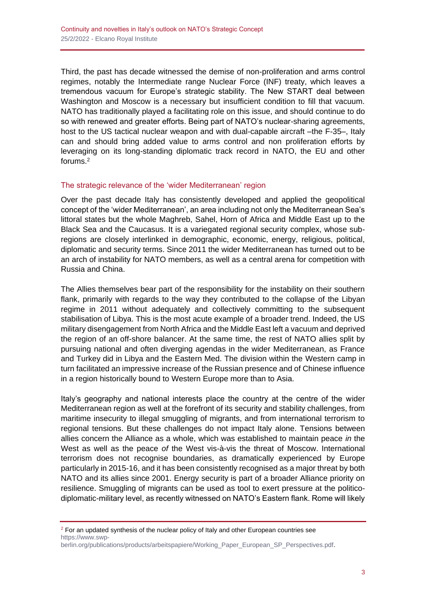Third, the past has decade witnessed the demise of non-proliferation and arms control regimes, notably the Intermediate range Nuclear Force (INF) treaty, which leaves a tremendous vacuum for Europe's strategic stability. The New START deal between Washington and Moscow is a necessary but insufficient condition to fill that vacuum. NATO has traditionally played a facilitating role on this issue, and should continue to do so with renewed and greater efforts. Being part of NATO's nuclear-sharing agreements, host to the US tactical nuclear weapon and with dual-capable aircraft –the F-35–, Italy can and should bring added value to arms control and non proliferation efforts by leveraging on its long-standing diplomatic track record in NATO, the EU and other forums.<sup>2</sup>

### The strategic relevance of the 'wider Mediterranean' region

Over the past decade Italy has consistently developed and applied the geopolitical concept of the 'wider Mediterranean', an area including not only the Mediterranean Sea's littoral states but the whole Maghreb, Sahel, Horn of Africa and Middle East up to the Black Sea and the Caucasus. It is a variegated regional security complex, whose subregions are closely interlinked in demographic, economic, energy, religious, political, diplomatic and security terms. Since 2011 the wider Mediterranean has turned out to be an arch of instability for NATO members, as well as a central arena for competition with Russia and China.

The Allies themselves bear part of the responsibility for the instability on their southern flank, primarily with regards to the way they contributed to the collapse of the Libyan regime in 2011 without adequately and collectively committing to the subsequent stabilisation of Libya. This is the most acute example of a broader trend. Indeed, the US military disengagement from North Africa and the Middle East left a vacuum and deprived the region of an off-shore balancer. At the same time, the rest of NATO allies split by pursuing national and often diverging agendas in the wider Mediterranean, as France and Turkey did in Libya and the Eastern Med. The division within the Western camp in turn facilitated an impressive increase of the Russian presence and of Chinese influence in a region historically bound to Western Europe more than to Asia.

Italy's geography and national interests place the country at the centre of the wider Mediterranean region as well at the forefront of its security and stability challenges, from maritime insecurity to illegal smuggling of migrants, and from international terrorism to regional tensions. But these challenges do not impact Italy alone. Tensions between allies concern the Alliance as a whole, which was established to maintain peace *in* the West as well as the peace *of* the West vis-à-vis the threat of Moscow. International terrorism does not recognise boundaries, as dramatically experienced by Europe particularly in 2015-16, and it has been consistently recognised as a major threat by both NATO and its allies since 2001. Energy security is part of a broader Alliance priority on resilience. Smuggling of migrants can be used as tool to exert pressure at the politicodiplomatic-military level, as recently witnessed on NATO's Eastern flank. Rome will likely

 $2$  For an updated synthesis of the nuclear policy of Italy and other European countries see [https://www.swp](https://www.swp-berlin.org/publications/products/arbeitspapiere/Working_Paper_European_SP_Perspectives.pdf)[berlin.org/publications/products/arbeitspapiere/Working\\_Paper\\_European\\_SP\\_Perspectives.pdf.](https://www.swp-berlin.org/publications/products/arbeitspapiere/Working_Paper_European_SP_Perspectives.pdf)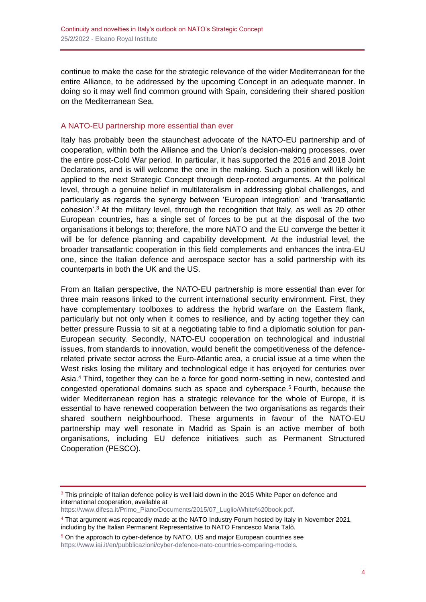continue to make the case for the strategic relevance of the wider Mediterranean for the entire Alliance, to be addressed by the upcoming Concept in an adequate manner. In doing so it may well find common ground with Spain, considering their shared position on the Mediterranean Sea.

### A NATO-EU partnership more essential than ever

Italy has probably been the staunchest advocate of the NATO-EU partnership and of cooperation, within both the Alliance and the Union's decision-making processes, over the entire post-Cold War period. In particular, it has supported the 2016 and 2018 Joint Declarations, and is will welcome the one in the making. Such a position will likely be applied to the next Strategic Concept through deep-rooted arguments. At the political level, through a genuine belief in multilateralism in addressing global challenges, and particularly as regards the synergy between 'European integration' and 'transatlantic cohesion'.<sup>3</sup> At the military level, through the recognition that Italy, as well as 20 other European countries, has a single set of forces to be put at the disposal of the two organisations it belongs to; therefore, the more NATO and the EU converge the better it will be for defence planning and capability development. At the industrial level, the broader transatlantic cooperation in this field complements and enhances the intra-EU one, since the Italian defence and aerospace sector has a solid partnership with its counterparts in both the UK and the US.

From an Italian perspective, the NATO-EU partnership is more essential than ever for three main reasons linked to the current international security environment. First, they have complementary toolboxes to address the hybrid warfare on the Eastern flank, particularly but not only when it comes to resilience, and by acting together they can better pressure Russia to sit at a negotiating table to find a diplomatic solution for pan-European security. Secondly, NATO-EU cooperation on technological and industrial issues, from standards to innovation, would benefit the competitiveness of the defencerelated private sector across the Euro-Atlantic area, a crucial issue at a time when the West risks losing the military and technological edge it has enjoyed for centuries over Asia.<sup>4</sup> Third, together they can be a force for good norm-setting in new, contested and congested operational domains such as space and cyberspace.<sup>5</sup> Fourth, because the wider Mediterranean region has a strategic relevance for the whole of Europe, it is essential to have renewed cooperation between the two organisations as regards their shared southern neighbourhood. These arguments in favour of the NATO-EU partnership may well resonate in Madrid as Spain is an active member of both organisations, including EU defence initiatives such as Permanent Structured Cooperation (PESCO).

[https://www.difesa.it/Primo\\_Piano/Documents/2015/07\\_Luglio/White%20book.pdf.](https://www.difesa.it/Primo_Piano/Documents/2015/07_Luglio/White%20book.pdf)

<sup>&</sup>lt;sup>3</sup> This principle of Italian defence policy is well laid down in the 2015 White Paper on defence and international cooperation, available at

<sup>4</sup> That argument was repeatedly made at the NATO Industry Forum hosted by Italy in November 2021, including by the Italian Permanent Representative to NATO Francesco Maria Talò.

<sup>&</sup>lt;sup>5</sup> On the approach to cyber-defence by NATO, US and major European countries see [https://www.iai.it/en/pubblicazioni/cyber-defence-nato-countries-comparing-models.](https://www.iai.it/en/pubblicazioni/cyber-defence-nato-countries-comparing-models)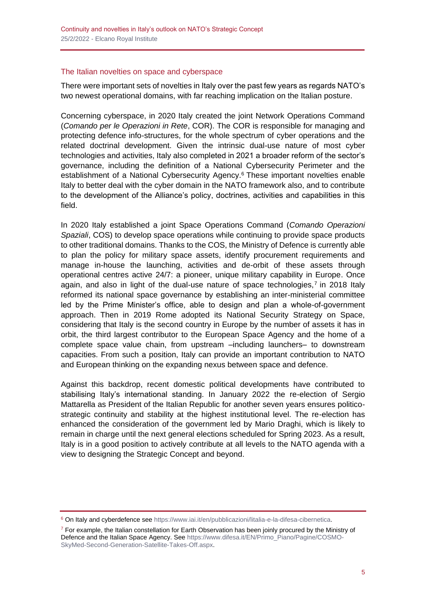#### The Italian novelties on space and cyberspace

There were important sets of novelties in Italy over the past few years as regards NATO's two newest operational domains, with far reaching implication on the Italian posture.

Concerning cyberspace, in 2020 Italy created the joint Network Operations Command (*Comando per le Operazioni in Rete*, COR). The COR is responsible for managing and protecting defence info-structures, for the whole spectrum of cyber operations and the related doctrinal development. Given the intrinsic dual-use nature of most cyber technologies and activities, Italy also completed in 2021 a broader reform of the sector's governance, including the definition of a National Cybersecurity Perimeter and the establishment of a National Cybersecurity Agency.<sup>6</sup> These important novelties enable Italy to better deal with the cyber domain in the NATO framework also, and to contribute to the development of the Alliance's policy, doctrines, activities and capabilities in this field.

In 2020 Italy established a joint Space Operations Command (*Comando Operazioni Spaziali*, COS) to develop space operations while continuing to provide space products to other traditional domains. Thanks to the COS, the Ministry of Defence is currently able to plan the policy for military space assets, identify procurement requirements and manage in-house the launching, activities and de-orbit of these assets through operational centres active 24/7: a pioneer, unique military capability in Europe. Once again, and also in light of the dual-use nature of space technologies,<sup>7</sup> in 2018 Italy reformed its national space governance by establishing an inter-ministerial committee led by the Prime Minister's office, able to design and plan a whole-of-government approach. Then in 2019 Rome adopted its National Security Strategy on Space, considering that Italy is the second country in Europe by the number of assets it has in orbit, the third largest contributor to the European Space Agency and the home of a complete space value chain, from upstream –including launchers– to downstream capacities. From such a position, Italy can provide an important contribution to NATO and European thinking on the expanding nexus between space and defence.

Against this backdrop, recent domestic political developments have contributed to stabilising Italy's international standing. In January 2022 the re-election of Sergio Mattarella as President of the Italian Republic for another seven years ensures politicostrategic continuity and stability at the highest institutional level. The re-election has enhanced the consideration of the government led by Mario Draghi, which is likely to remain in charge until the next general elections scheduled for Spring 2023. As a result, Italy is in a good position to actively contribute at all levels to the NATO agenda with a view to designing the Strategic Concept and beyond.

<sup>&</sup>lt;sup>6</sup> On Italy and cyberdefence see [https://www.iai.it/en/pubblicazioni/litalia-e-la-difesa-cibernetica.](https://www.iai.it/en/pubblicazioni/litalia-e-la-difesa-cibernetica)

 $7$  For example, the Italian constellation for Earth Observation has been joinly procured by the Ministry of Defence and the Italian Space Agency. Se[e https://www.difesa.it/EN/Primo\\_Piano/Pagine/COSMO-](https://www.difesa.it/EN/Primo_Piano/Pagine/COSMO-SkyMed-Second-Generation-Satellite-Takes-Off.aspx)[SkyMed-Second-Generation-Satellite-Takes-Off.aspx.](https://www.difesa.it/EN/Primo_Piano/Pagine/COSMO-SkyMed-Second-Generation-Satellite-Takes-Off.aspx)